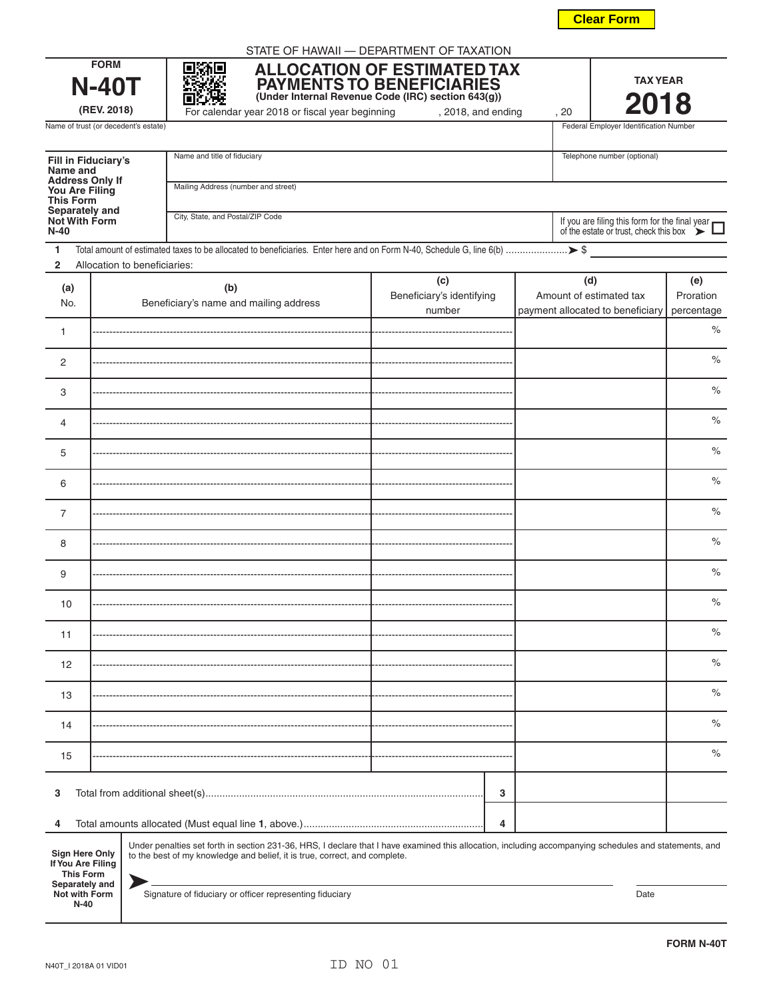N40T\_I 2018A 01 VID01

**Not with Form N-40**

| NO. |  |
|-----|--|
|     |  |

| <b>FORM N-40T</b> |  |
|-------------------|--|

|                                                                                                   | <b>N-40T</b><br>PAYMENTS TO BENEFICIARIES<br>(Under Internal Revenue Code (IRC) section 643(g))<br>(REV. 2018)<br>For calendar year 2018 or fiscal year beginning<br>, 2018, and ending<br>, 20                                                            |                                                                                                                                                                                                                                                                                                  |                                            |                                                                    | <b>TAX YEAR</b><br>2018                                                                      |                                |
|---------------------------------------------------------------------------------------------------|------------------------------------------------------------------------------------------------------------------------------------------------------------------------------------------------------------------------------------------------------------|--------------------------------------------------------------------------------------------------------------------------------------------------------------------------------------------------------------------------------------------------------------------------------------------------|--------------------------------------------|--------------------------------------------------------------------|----------------------------------------------------------------------------------------------|--------------------------------|
|                                                                                                   | Name of trust (or decedent's estate)                                                                                                                                                                                                                       |                                                                                                                                                                                                                                                                                                  |                                            |                                                                    | Federal Employer Identification Number                                                       |                                |
|                                                                                                   | Name and title of fiduciary<br><b>Fill in Fiduciary's</b><br>Name and<br><b>Address Only If</b><br>Mailing Address (number and street)<br>You Are Filing<br><b>This Form</b><br>Separately and<br>City, State, and Postal/ZIP Code<br><b>Not With Form</b> |                                                                                                                                                                                                                                                                                                  |                                            |                                                                    | Telephone number (optional)                                                                  |                                |
| $N-40$                                                                                            |                                                                                                                                                                                                                                                            |                                                                                                                                                                                                                                                                                                  |                                            |                                                                    | If you are filing this form for the final year of the estate or trust, check this box $\sum$ |                                |
| 1<br>$\overline{2}$                                                                               | Allocation to beneficiaries:                                                                                                                                                                                                                               |                                                                                                                                                                                                                                                                                                  |                                            |                                                                    |                                                                                              |                                |
| (a)<br>No.                                                                                        |                                                                                                                                                                                                                                                            | (b)<br>Beneficiary's name and mailing address                                                                                                                                                                                                                                                    | (c)<br>Beneficiary's identifying<br>number | (d)<br>Amount of estimated tax<br>payment allocated to beneficiary |                                                                                              | (e)<br>Proration<br>percentage |
| $\mathbf{1}$                                                                                      |                                                                                                                                                                                                                                                            |                                                                                                                                                                                                                                                                                                  |                                            |                                                                    |                                                                                              | $\%$                           |
| $\overline{2}$                                                                                    |                                                                                                                                                                                                                                                            |                                                                                                                                                                                                                                                                                                  |                                            |                                                                    |                                                                                              | $\%$                           |
| 3                                                                                                 |                                                                                                                                                                                                                                                            |                                                                                                                                                                                                                                                                                                  |                                            |                                                                    |                                                                                              | $\%$                           |
| $\overline{4}$                                                                                    |                                                                                                                                                                                                                                                            |                                                                                                                                                                                                                                                                                                  |                                            |                                                                    |                                                                                              | $\%$                           |
| 5                                                                                                 |                                                                                                                                                                                                                                                            |                                                                                                                                                                                                                                                                                                  |                                            |                                                                    |                                                                                              | $\%$                           |
| 6                                                                                                 |                                                                                                                                                                                                                                                            |                                                                                                                                                                                                                                                                                                  |                                            |                                                                    |                                                                                              | $\%$                           |
| 7                                                                                                 |                                                                                                                                                                                                                                                            |                                                                                                                                                                                                                                                                                                  |                                            |                                                                    |                                                                                              | $\%$                           |
| 8                                                                                                 |                                                                                                                                                                                                                                                            |                                                                                                                                                                                                                                                                                                  |                                            |                                                                    |                                                                                              | $\%$                           |
| 9                                                                                                 |                                                                                                                                                                                                                                                            |                                                                                                                                                                                                                                                                                                  |                                            |                                                                    |                                                                                              | $\%$                           |
| 10                                                                                                |                                                                                                                                                                                                                                                            |                                                                                                                                                                                                                                                                                                  |                                            |                                                                    |                                                                                              | $\%$                           |
| 11                                                                                                |                                                                                                                                                                                                                                                            |                                                                                                                                                                                                                                                                                                  |                                            |                                                                    |                                                                                              | $\%$                           |
| 12                                                                                                |                                                                                                                                                                                                                                                            |                                                                                                                                                                                                                                                                                                  |                                            |                                                                    |                                                                                              | $\%$                           |
| 13                                                                                                |                                                                                                                                                                                                                                                            |                                                                                                                                                                                                                                                                                                  |                                            |                                                                    |                                                                                              | $\%$                           |
| 14                                                                                                |                                                                                                                                                                                                                                                            |                                                                                                                                                                                                                                                                                                  |                                            |                                                                    |                                                                                              | $\%$                           |
| 15                                                                                                |                                                                                                                                                                                                                                                            |                                                                                                                                                                                                                                                                                                  |                                            |                                                                    |                                                                                              | $\%$                           |
| 3                                                                                                 |                                                                                                                                                                                                                                                            |                                                                                                                                                                                                                                                                                                  | 3                                          |                                                                    |                                                                                              |                                |
| 4                                                                                                 |                                                                                                                                                                                                                                                            |                                                                                                                                                                                                                                                                                                  | 4                                          |                                                                    |                                                                                              |                                |
| <b>Sign Here Only</b><br>If You Are Filing<br><b>This Form</b><br>Separately and<br>Not with Form |                                                                                                                                                                                                                                                            | Under penalties set forth in section 231-36, HRS, I declare that I have examined this allocation, including accompanying schedules and statements, and<br>to the best of my knowledge and belief, it is true, correct, and complete.<br>Signature of fiduciary or officer representing fiduciary |                                            |                                                                    | Date                                                                                         |                                |

STATE OF HAWAII — DEPARTMENT OF TAXATION

**FORM N-40T**

| г.         |
|------------|
| For calend |

# **ALLOCATION OF ESTIMATED TAX PAYMENTS TO BENEFICIARIES**

**Clear Form**